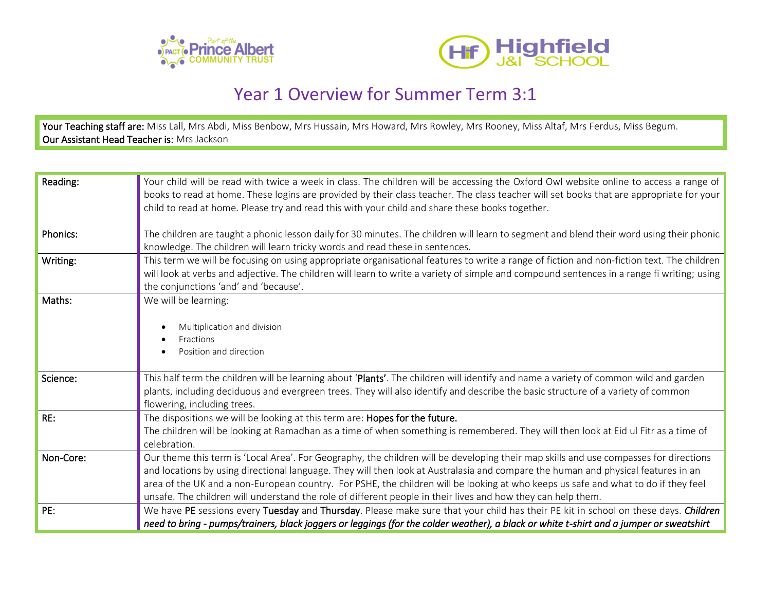



## Year 1 Overview for Summer Term 3:1

Your Teaching staff are: Miss Lall, Mrs Abdi, Miss Benbow, Mrs Hussain, Mrs Howard, Mrs Rowley, Mrs Rooney, Miss Altaf, Mrs Ferdus, Miss Begum. Our Assistant Head Teacher is: Mrs Jackson

| Reading:        | Your child will be read with twice a week in class. The children will be accessing the Oxford Owl website online to access a range of<br>books to read at home. These logins are provided by their class teacher. The class teacher will set books that are appropriate for your |
|-----------------|----------------------------------------------------------------------------------------------------------------------------------------------------------------------------------------------------------------------------------------------------------------------------------|
|                 | child to read at home. Please try and read this with your child and share these books together.                                                                                                                                                                                  |
| <b>Phonics:</b> | The children are taught a phonic lesson daily for 30 minutes. The children will learn to segment and blend their word using their phonic                                                                                                                                         |
|                 | knowledge. The children will learn tricky words and read these in sentences.                                                                                                                                                                                                     |
| Writing:        | This term we will be focusing on using appropriate organisational features to write a range of fiction and non-fiction text. The children                                                                                                                                        |
|                 | will look at verbs and adjective. The children will learn to write a variety of simple and compound sentences in a range fi writing; using<br>the conjunctions 'and' and 'because'.                                                                                              |
| Maths:          | We will be learning:                                                                                                                                                                                                                                                             |
|                 | Multiplication and division                                                                                                                                                                                                                                                      |
|                 | Fractions                                                                                                                                                                                                                                                                        |
|                 | Position and direction                                                                                                                                                                                                                                                           |
| Science:        | This half term the children will be learning about 'Plants'. The children will identify and name a variety of common wild and garden                                                                                                                                             |
|                 | plants, including deciduous and evergreen trees. They will also identify and describe the basic structure of a variety of common<br>flowering, including trees.                                                                                                                  |
| RE:             | The dispositions we will be looking at this term are: Hopes for the future.                                                                                                                                                                                                      |
|                 | The children will be looking at Ramadhan as a time of when something is remembered. They will then look at Eid ul Fitr as a time of<br>celebration.                                                                                                                              |
| Non-Core:       | Our theme this term is 'Local Area'. For Geography, the children will be developing their map skills and use compasses for directions                                                                                                                                            |
|                 | and locations by using directional language. They will then look at Australasia and compare the human and physical features in an<br>area of the UK and a non-European country. For PSHE, the children will be looking at who keeps us safe and what to do if they feel          |
|                 | unsafe. The children will understand the role of different people in their lives and how they can help them.                                                                                                                                                                     |
| PE:             | We have PE sessions every Tuesday and Thursday. Please make sure that your child has their PE kit in school on these days. Children                                                                                                                                              |
|                 | need to bring - pumps/trainers, black joggers or leggings (for the colder weather), a black or white t-shirt and a jumper or sweatshirt                                                                                                                                          |